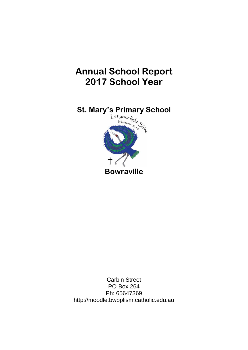# **Annual School Report 2017 School Year**



Carbin Street PO Box 264 Ph: 65647369 http://moodle.bwpplism.catholic.edu.au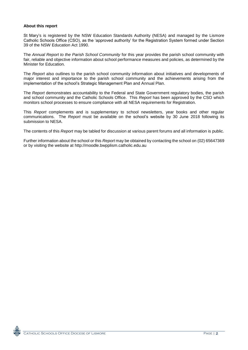#### **About this report**

St Mary's is registered by the NSW Education Standards Authority (NESA) and managed by the Lismore Catholic Schools Office (CSO), as the 'approved authority' for the Registration System formed under Section 39 of the NSW Education Act 1990.

The *Annual Report to the Parish School Community* for this year provides the parish school community with fair, reliable and objective information about school performance measures and policies, as determined by the Minister for Education.

The *Report* also outlines to the parish school community information about initiatives and developments of major interest and importance to the parish school community and the achievements arising from the implementation of the school's Strategic Management Plan and Annual Plan.

The *Report* demonstrates accountability to the Federal and State Government regulatory bodies, the parish and school community and the Catholic Schools Office. This *Report* has been approved by the CSO which monitors school processes to ensure compliance with all NESA requirements for Registration.

This *Report* complements and is supplementary to school newsletters, year books and other regular communications. The *Report* must be available on the school's website by 30 June 2018 following its submission to NESA.

The contents of this *Report* may be tabled for discussion at various parent forums and all information is public.

Further information about the school or this *Report* may be obtained by contacting the school on (02) 65647369 or by visiting the website at http://moodle.bwpplism.catholic.edu.au

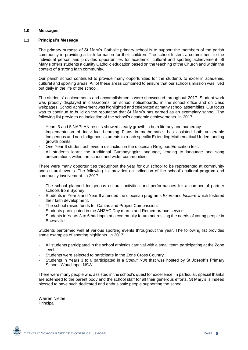## **1.0 Messages**

#### **1.1 Principal's Message**

The primary purpose of St Mary's Catholic primary school is to support the members of the parish community in providing a faith formation for their children. The school fosters a commitment to the individual person and provides opportunities for academic, cultural and sporting achievement. St Mary's offers students a quality Catholic education based on the teaching of the Church and within the context of a strong faith community.

Our parish school continued to provide many opportunities for the students to excel in academic, cultural and sporting areas. All of these areas combined to ensure that our school's mission was lived out daily in the life of the school.

The students' achievements and accomplishments were showcased throughout 2017. Student work was proudly displayed in classrooms, on school noticeboards, in the school office and on class webpages. School achievement was highlighted and celebrated at many school assemblies. Our focus was to continue to build on the reputation that St Mary's has earned as an exemplary school. The following list provides an indication of the school's academic achievements. In 2017:

- Years 3 and 5 NAPLAN results showed steady growth in both literacy and numeracy.
- Implementation of Individual Learning Plans in mathematics has assisted both vulnerable Indigenous and non-Indigenous students to reach specific Extending Mathematical Understanding growth points.
- One Year 6 student achieved a distinction in the diocesan Religious Education test.
- All students learnt the traditional Gumbaynggirr language, leading to language and song presentations within the school and wider communities.

There were many opportunities throughout the year for our school to be represented at community and cultural events. The following list provides an indication of the school's cultural program and community involvement. In 2017:

- The school planned Indigenous cultural activities and performances for a number of partner schools from Sydney.
- Students in Year 5 and Year 6 attended the diocesan programs *Exuro* and *Incitare* which fostered their faith development.
- The school raised funds for Caritas and Project Compassion.
- Students participated in the ANZAC Day march and Remembrance service.
- Students in Years 3 to 6 had input at a community forum addressing the needs of young people in Bowraville.

Students performed well at various sporting events throughout the year. The following list provides some examples of sporting highlights. In 2017:

- All students participated in the school athletics carnival with a small team participating at the Zone level.
- Students were selected to participate in the Zone Cross Country.
- Students in Years 3 to 6 participated in a *Colour Run* that was hosted by St Joseph's Primary School, Wauchope, NSW.

There were many people who assisted in the school's quest for excellence. In particular, special thanks are extended to the parent body and the school staff for all their generous efforts. St Mary's is indeed blessed to have such dedicated and enthusiastic people supporting the school.

Warren Niethe Principal

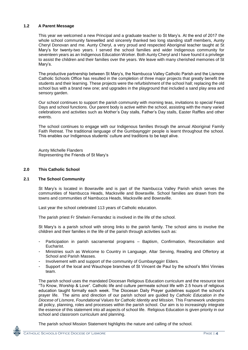## **1.2 A Parent Message**

This year we welcomed a new Principal and a graduate teacher to St Mary's. At the end of 2017 the whole school community farewelled and sincerely thanked two long standing staff members, Aunty Cheryl Donovan and me. Aunty Cheryl, a very proud and respected Aboriginal teacher taught at St Mary's for twenty-two years. I served the school families and wider Indigenous community for seventeen years as an Indigenous Education Worker. Both Aunty Cheryl and I have found it a privilege to assist the children and their families over the years. We leave with many cherished memories of St Mary's.

The productive partnership between St Mary's, the Nambucca Valley Catholic Parish and the Lismore Catholic Schools Office has resulted in the completion of three major projects that greatly benefit the students and their learning. These projects were the refurbishment of the school hall; replacing the old school bus with a brand new one; and upgrades in the playground that included a sand play area and sensory garden.

Our school continues to support the parish community with morning teas, invitations to special Feast Days and school functions. Our parent body is active within the school, assisting with the many varied celebrations and activities such as Mother's Day stalls, Father's Day stalls, Easter Raffles and other events.

The school continues to engage with our Indigenous families through the annual Aboriginal Family Faith Retreat. The traditional language of the Gumbaynggirr people is learnt throughout the school. This enables our Indigenous students' culture and traditions to be kept alive.

Aunty Michelle Flanders Representing the Friends of St Mary's

## **2.0 This Catholic School**

## **2.1 The School Community**

St Mary's is located in Bowraville and is part of the Nambucca Valley Parish which serves the communities of Nambucca Heads, Macksville and Bowraville. School families are drawn from the towns and communities of Nambucca Heads, Macksville and Bowraville.

Last year the school celebrated 113 years of Catholic education.

The parish priest Fr Shelwin Fernandez is involved in the life of the school.

St Mary's is a parish school with strong links to the parish family. The school aims to involve the children and their families in the life of the parish through activities such as:

- Participation in parish sacramental programs Baptism, Confirmation, Reconciliation and Eucharist.
- Ministries such as Welcome to Country in Language, Altar Serving, Reading and Offertory at School and Parish Masses.
- Involvement with and support of the community of Gumbaynggirr Elders.
- Support of the local and Wauchope branches of St Vincent de Paul by the school's Mini Vinnies team.

The parish school uses the mandated Diocesan Religious Education curriculum and the resource text "To Know, Worship & Love". Catholic life and culture permeate school life with 2.5 hours of religious education taught formally each week. The Diocesan Daily Prayer guidelines support the school's prayer life. The aims and direction of our parish school are guided by *Catholic Education in the Diocese of Lismore, Foundational Values for Catholic Identity and Mission.* This Framework underpins all policy, planning, roles and processes within the parish school. Our aim is to increasingly integrate the essence of this statement into all aspects of school life. Religious Education is given priority in our school and classroom curriculum and planning.

The parish school Mission Statement highlights the nature and calling of the school.

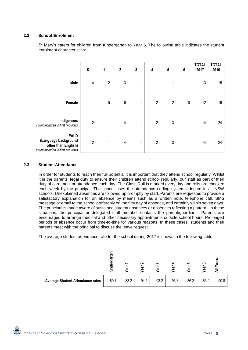# **2.2 School Enrolment**

St Mary's caters for children from Kindergarten to Year 6. The following table indicates the student enrolment characteristics:

|                                                                                                | Κ              | $\mathbf{1}$   | $\mathbf{2}$    | $\mathbf{3}$ | 4              | ${\bf 5}$      | 6 | <b>TOTAL</b><br>2017 | <b>TOTAL</b><br>2016 |
|------------------------------------------------------------------------------------------------|----------------|----------------|-----------------|--------------|----------------|----------------|---|----------------------|----------------------|
| <b>Male</b>                                                                                    | 4              | $\overline{2}$ | 3               | 1            | 1              | 1              | 1 | 13                   | 15                   |
| Female                                                                                         |                | $\mathbf 0$    | $6\phantom{1}6$ | 1            | $\overline{2}$ | $\overline{2}$ | 0 | 12                   | 19                   |
| Indigenous<br>count included in first two rows                                                 | $\overline{2}$ | $\mathbf{1}$   | $\overline{4}$  | 1            | $\sqrt{2}$     | 3              | 1 | 14                   | 24                   |
| <b>EALD</b><br>(Language background<br>other than English)<br>count included in first two rows | $\overline{2}$ | 1              | 4               | 1            | $\sqrt{2}$     | 3              | 1 | 14                   | 24                   |

#### **2.3 Student Attendance**

In order for students to reach their full potential it is important that they attend school regularly. Whilst it is the parents' legal duty to ensure their children attend school regularly, our staff as part of their duty of care monitor attendance each day. The Class Roll is marked every day and rolls are checked each week by the principal. The school uses the attendance coding system adopted in all NSW schools. Unexplained absences are followed up promptly by staff. Parents are requested to provide a satisfactory explanation for an absence by means such as a written note, telephone call, SMS message or email to the school preferably on the first day of absence, and certainly within seven days. The principal is made aware of sustained student absences or absences reflecting a pattern. In these situations, the principal or delegated staff member contacts the parent/guardian. Parents are encouraged to arrange medical and other necessary appointments outside school hours. Prolonged periods of absence occur from time-to-time for various reasons. In these cases, students and their parents meet with the principal to discuss the leave request.

The average student attendance rate for the school during 2017 is shown in the following table.

|                                         | ŗЭ<br>ు | ුලි  | N<br>ී | ς<br>සි | සි   | မာ<br>ී | ဖ<br>ී | w<br>ුඹ<br>ਤ |
|-----------------------------------------|---------|------|--------|---------|------|---------|--------|--------------|
| <b>Average Student Attendance rates</b> | 89.7    | 83.2 | 94.5   | 93.2    | 93.3 | 86.2    | 83.2   | 90.8         |

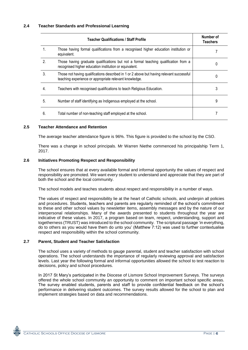|    | <b>Teacher Qualifications / Staff Profile</b>                                                                                                      |   |  |  |  |
|----|----------------------------------------------------------------------------------------------------------------------------------------------------|---|--|--|--|
| 1. | Those having formal qualifications from a recognised higher education institution or<br>equivalent.                                                |   |  |  |  |
| 2. | Those having graduate qualifications but not a formal teaching qualification from a<br>recognised higher education institution or equivalent.      | 0 |  |  |  |
| 3. | Those not having qualifications described in 1 or 2 above but having relevant successful<br>teaching experience or appropriate relevant knowledge. | 0 |  |  |  |
| 4. | Teachers with recognised qualifications to teach Religious Education.                                                                              | 3 |  |  |  |
| 5. | Number of staff identifying as Indigenous employed at the school.                                                                                  | 9 |  |  |  |
| 6. | Total number of non-teaching staff employed at the school.                                                                                         |   |  |  |  |

#### **2.5 Teacher Attendance and Retention**

The average teacher attendance figure is 96%. This figure is provided to the school by the CSO.

There was a change in school principals. Mr Warren Niethe commenced his principalship Term 1, 2017.

#### **2.6 Initiatives Promoting Respect and Responsibility**

The school ensures that at every available formal and informal opportunity the values of respect and responsibility are promoted. We want every student to understand and appreciate that they are part of both the school and the local community.

The school models and teaches students about respect and responsibility in a number of ways.

The values of respect and responsibility lie at the heart of Catholic schools, and underpin all policies and procedures. Students, teachers and parents are regularly reminded of the school's commitment to these and other school values by newsletter items, assembly messages and by the nature of our interpersonal relationships. Many of the awards presented to students throughout the year are indicative of these values. In 2017, a program based on team, respect, understanding, support and togetherness (TRUST) was introduced to the school community. The scriptural passage 'in everything, do to others as you would have them do unto you' (Matthew 7:12) was used to further contextualise respect and responsibility within the school community.

#### **2.7 Parent, Student and Teacher Satisfaction**

The school uses a variety of methods to gauge parental, student and teacher satisfaction with school operations. The school understands the importance of regularly reviewing approval and satisfaction levels. Last year the following formal and informal opportunities allowed the school to test reaction to decisions, policy and school procedures.

In 2017 St Mary's participated in the Diocese of Lismore School Improvement Surveys. The surveys offered the whole school community an opportunity to comment on important school specific areas. The survey enabled students, parents and staff to provide confidential feedback on the school's performance in delivering student outcomes. The survey results allowed for the school to plan and implement strategies based on data and recommendations.

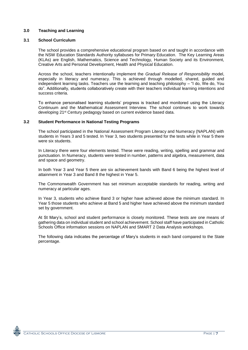# **3.0 Teaching and Learning**

## **3.1 School Curriculum**

The school provides a comprehensive educational program based on and taught in accordance with the NSW Education Standards Authority syllabuses for Primary Education. The Key Learning Areas (KLAs) are English, Mathematics, Science and Technology, Human Society and its Environment, Creative Arts and Personal Development, Health and Physical Education.

Across the school, teachers intentionally implement the *Gradual Release of Responsibility* model, especially in literacy and numeracy. This is achieved through modelled, shared, guided and independent learning tasks. Teachers use the learning and teaching philosophy – "I do, We do, You do". Additionally, students collaboratively create with their teachers individual learning intentions and success criteria.

To enhance personalised learning students' progress is tracked and monitored using the Literacy Continuum and the Mathematical Assessment Interview. The school continues to work towards developing 21st Century pedagogy based on current evidence based data.

## **3.2 Student Performance in National Testing Programs**

The school participated in the National Assessment Program Literacy and Numeracy (NAPLAN) with students in Years 3 and 5 tested. In Year 3, two students presented for the tests while in Year 5 there were six students.

In Literacy there were four elements tested. These were reading, writing, spelling and grammar and punctuation. In Numeracy, students were tested in number, patterns and algebra, measurement, data and space and geometry.

In both Year 3 and Year 5 there are six achievement bands with Band 6 being the highest level of attainment in Year 3 and Band 8 the highest in Year 5.

The Commonwealth Government has set minimum acceptable standards for reading, writing and numeracy at particular ages.

In Year 3, students who achieve Band 3 or higher have achieved above the minimum standard. In Year 5 those students who achieve at Band 5 and higher have achieved above the minimum standard set by government.

At St Mary's, school and student performance is closely monitored. These tests are one means of gathering data on individual student and school achievement. School staff have participated in Catholic Schools Office information sessions on NAPLAN and SMART 2 Data Analysis workshops.

The following data indicates the percentage of Mary's students in each band compared to the State percentage.

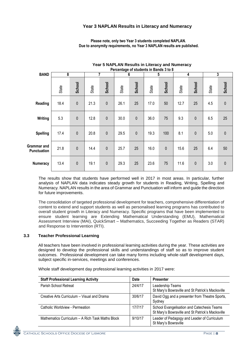# **Year 3 NAPLAN Results in Literacy and Numeracy**

|                                          | Percentage of students in Bands 3 to 8 |           |       |              |       |           |       |           |       |           |       |           |
|------------------------------------------|----------------------------------------|-----------|-------|--------------|-------|-----------|-------|-----------|-------|-----------|-------|-----------|
| <b>BAND</b>                              | 8                                      |           | 7     |              | 6     |           | 5     |           | 4     |           | 3     |           |
|                                          | State                                  | School    | State | School       | State | School    | State | School    | State | School    | State | School    |
| Reading                                  | 18.4                                   | $\pmb{0}$ | 21.3  | $\mathbf 0$  | 26.1  | 25        | 17.0  | 50        | 12.7  | 25        | 4.5   | $\pmb{0}$ |
| Writing                                  | 5.3                                    | $\pmb{0}$ | 12.8  | $\mathbf 0$  | 30.0  | $\pmb{0}$ | 36.0  | 75        | 9.3   | $\pmb{0}$ | 6.5   | 25        |
| <b>Spelling</b>                          | 17.4                                   | $\pmb{0}$ | 20.8  | $\mathbf{0}$ | 29.5  | $\pmb{0}$ | 19.3  | 100       | 8.1   | $\pmb{0}$ | 5.0   | $\pmb{0}$ |
| <b>Grammar and</b><br><b>Punctuation</b> | 21.8                                   | $\pmb{0}$ | 14.4  | $\mathbf 0$  | 25.7  | 25        | 16.0  | $\pmb{0}$ | 15.6  | 25        | 6.4   | 50        |
| <b>Numeracy</b>                          | 13.4                                   | $\pmb{0}$ | 19.1  | $\pmb{0}$    | 29.3  | 25        | 23.6  | 75        | 11.6  | $\pmb{0}$ | 3.0   | $\pmb{0}$ |

 **Please note, only two Year 3 students completed NAPLAN. Due to anonymity requirements, no Year 3 NAPLAN results are published.**

**Year 5 NAPLAN Results in Literacy and Numeracy**

The results show that students have performed well in 2017 in most areas. In particular, further analysis of NAPLAN data indicates steady growth for students in Reading, Writing, Spelling and Numeracy. NAPLAN results in the area of Grammar and Punctuation will inform and guide the direction for future improvements.

The consolidation of targeted professional development for teachers, comprehensive differentiation of content to extend and support students as well as personalised learning programs has contributed to overall student growth in Literacy and Numeracy. Specific programs that have been implemented to ensure student learning are Extending Mathematical Understanding (EMU), Mathematical Assessment Interview (MAI), QuickSmart – Mathematics, Succeeding Together as Readers (STAR) and Response to Intervention (RTI).

## **3.3 Teacher Professional Learning**

All teachers have been involved in professional learning activities during the year. These activities are designed to develop the professional skills and understandings of staff so as to improve student outcomes. Professional development can take many forms including whole-staff development days, subject specific in-services, meetings and conferences.

Whole staff development day professional learning activities in 2017 were:

| <b>Staff Professional Learning Activity</b>      | <b>Date</b> | <b>Presenter</b>                                                                               |
|--------------------------------------------------|-------------|------------------------------------------------------------------------------------------------|
| Parish School Retreat                            | 24/4/17     | Leadership Teams<br>St Mary's Bowraville and St Patrick's Macksville                           |
| Creative Arts Curriculum - Visual and Drama      | 30/6/17     | David Ogg and a presenter from Theatre Sports,<br>Sydney                                       |
| Catholic Worldview - Permeation                  | 17/7/17     | School Evangelisation and Catechesis Teams<br>St Mary's Bowraville and St Patrick's Macksville |
| Mathematics Curriculum - A Rich Task Maths Block | 9/10/17     | Leader of Pedagogy and Leader of Curriculum<br>St Mary's Bowraville                            |

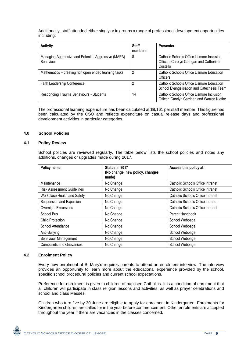Additionally, staff attended either singly or in groups a range of professional development opportunities including:

| <b>Activity</b>                                                         | <b>Staff</b><br>numbers | <b>Presenter</b>                                                                                 |
|-------------------------------------------------------------------------|-------------------------|--------------------------------------------------------------------------------------------------|
| Managing Aggressive and Potential Aggressive (MAPA)<br><b>Behaviour</b> | 8                       | Catholic Schools Office Lismore Inclusion<br>Officers Carolyn Carrigan and Catherine<br>Costello |
| Mathematics – creating rich open ended learning tasks                   | 2                       | Catholic Schools Office Lismore Education<br>Officers                                            |
| Faith Leadership Conference                                             | 2                       | Catholic Schools Office Lismore Education<br>School Evangelisation and Catechesis Team           |
| Responding Trauma Behaviours - Students                                 | 14                      | Catholic Schools Office Lismore Inclusion<br>Officer Carolyn Carrigan and Warren Niethe          |

The professional learning expenditure has been calculated at \$8,161 per staff member. This figure has been calculated by the CSO and reflects expenditure on casual release days and professional development activities in particular categories.

#### **4.0 School Policies**

#### **4.1 Policy Review**

School policies are reviewed regularly. The table below lists the school policies and notes any additions, changes or upgrades made during 2017.

| Policy name                       | Status in 2017<br>(No change, new policy, changes<br>made) | Access this policy at:           |
|-----------------------------------|------------------------------------------------------------|----------------------------------|
| Maintenance                       | No Change                                                  | Catholic Schools Office Intranet |
| <b>Risk Assessment Guidelines</b> | No Change                                                  | Catholic Schools Office Intranet |
| Workplace Health and Safety       | No Change                                                  | Catholic Schools Office Intranet |
| Suspension and Expulsion          | No Change                                                  | Catholic Schools Office Intranet |
| Overnight Excursions              | No Change                                                  | Catholic Schools Office Intranet |
| School Bus                        | No Change                                                  | Parent Handbook                  |
| <b>Child Protection</b>           | No Change                                                  | School Webpage                   |
| School Attendance                 | No Change                                                  | School Webpage                   |
| Anti-Bullying                     | No Change                                                  | School Webpage                   |
| <b>Behaviour Management</b>       | No Change                                                  | School Webpage                   |
| <b>Complaints and Grievances</b>  | No Change                                                  | School Webpage                   |

#### **4.2 Enrolment Policy**

Every new enrolment at St Mary's requires parents to attend an enrolment interview. The interview provides an opportunity to learn more about the educational experience provided by the school, specific school procedural policies and current school expectations.

Preference for enrolment is given to children of baptised Catholics. It is a condition of enrolment that all children will participate in class religion lessons and activities, as well as prayer celebrations and school and class Masses.

Children who turn five by 30 June are eligible to apply for enrolment in Kindergarten. Enrolments for Kindergarten children are called for in the year before commencement. Other enrolments are accepted throughout the year if there are vacancies in the classes concerned.

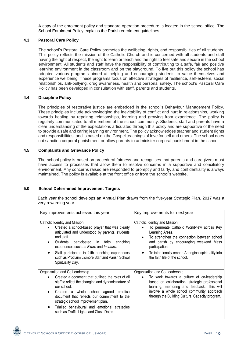A copy of the enrolment policy and standard operation procedure is located in the school office. The School Enrolment Policy explains the Parish enrolment quidelines.

# **4.3 Pastoral Care Policy**

The school's Pastoral Care Policy promotes the wellbeing, rights, and responsibilities of all students. This policy reflects the mission of the Catholic Church and is concerned with all students and staff having the right of respect, the right to learn or teach and the right to feel safe and secure in the school environment. All students and staff have the responsibility of contributing to a safe, fair and positive learning environment in the classroom and on the playground. To live out this policy the school has adopted various programs aimed at helping and encouraging students to value themselves and experience wellbeing. These programs focus on effective strategies of resilience, self-esteem, social relationships, anti-bullying, drug awareness, health and personal safety. The school's Pastoral Care Policy has been developed in consultation with staff, parents and students.

## **4.4 Discipline Policy**

The principles of restorative justice are embedded in the school's Behaviour Management Policy. These principles include acknowledging the inevitability of conflict and hurt in relationships, working towards healing by repairing relationships, learning and growing from experience. The policy is regularly communicated to all members of the school community. Students, staff and parents have a clear understanding of the expectations articulated through this policy and are supportive of the need to provide a safe and caring learning environment. The policy acknowledges teacher and student rights and responsibilities, and is based on the Gospel teachings of love for self and others. The school does not sanction corporal punishment or allow parents to administer corporal punishment in the school.

## **4.5 Complaints and Grievance Policy**

The school policy is based on procedural fairness and recognises that parents and caregivers must have access to processes that allow them to resolve concerns in a supportive and conciliatory environment. Any concerns raised are responded to promptly and fairly, and confidentiality is always maintained. The policy is available at the front office or from the school's website.

## **5.0 School Determined Improvement Targets**

Each year the school develops an Annual Plan drawn from the five-year Strategic Plan. 2017 was a very rewarding year.

| Key improvements achieved this year                                                                                                                                                                                                                                                                                                                                                      | Key Improvements for next year                                                                                                                                                                                                                                                                   |  |  |  |
|------------------------------------------------------------------------------------------------------------------------------------------------------------------------------------------------------------------------------------------------------------------------------------------------------------------------------------------------------------------------------------------|--------------------------------------------------------------------------------------------------------------------------------------------------------------------------------------------------------------------------------------------------------------------------------------------------|--|--|--|
| Catholic Identity and Mission<br>Created a school-based prayer that was clearly<br>articulated and understood by parents, students<br>and staff.<br>participated in faith enriching<br>Students<br>experiences such as Exuro and Incatare.<br>Staff participated in faith enriching experiences<br>such as Proclaim Lismore Staff and Parish School<br>Spirituality Day.                 | Catholic Identity and Mission<br>To permeate Catholic Worldview across Key<br>Learning Areas.<br>To strengthen the connection between school<br>and parish by encouraging weekend Mass<br>participation.<br>To intentionally embed Aboriginal spirituality into<br>the faith life of the school. |  |  |  |
| Organisation and Co Leadership<br>Created a document that outlined the roles of all<br>staff to reflect the changing and dynamic nature of<br>our school.<br>Created a whole school agreed<br>practice<br>document that reflects our commitment to the<br>strategic school improvement plan.<br>Trialled behavioural and emotional strategies<br>such as Traffic Lights and Class Dojos. | Organisation and Co Leadership<br>To work towards a culture of co-leadership<br>based on collaboration, strategic professional<br>learning, mentoring and feedback. This will<br>involve a whole school community approach<br>through the Building Cultural Capacity program.                    |  |  |  |

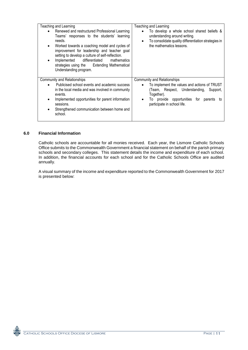| Teaching and Learning                                                                                                                                                                                                                                                                                                                                                                    | Teaching and Learning                                                                                                                                                                                                              |  |  |  |
|------------------------------------------------------------------------------------------------------------------------------------------------------------------------------------------------------------------------------------------------------------------------------------------------------------------------------------------------------------------------------------------|------------------------------------------------------------------------------------------------------------------------------------------------------------------------------------------------------------------------------------|--|--|--|
| Renewed and restructured Professional Learning<br>Teams' responses to the students' learning<br>needs.<br>Worked towards a coaching model and cycles of<br>٠<br>improvement for leadership and teacher goal<br>setting to develop a culture of self-reflection.<br>differentiated<br>mathematics<br>Implemented<br>strategies using the Extending Mathematical<br>Understanding program. | To develop a whole school shared beliefs &<br>$\bullet$<br>understanding around writing.<br>To consolidate quality differentiation strategies in<br>$\bullet$<br>the mathematics lessons.                                          |  |  |  |
| <b>Community and Relationships</b><br>Publicised school events and academic success<br>in the local media and was involved in community<br>events.<br>Implemented opportunities for parent information<br>sessions.<br>Strengthened communication between home and<br>school.                                                                                                            | Community and Relationships<br>To implement the values and actions of TRUST<br>$\bullet$<br>(Team, Respect, Understanding, Support,<br>Together).<br>provide opportunities for parents<br>10.<br>τo<br>participate in school life. |  |  |  |

# **6.0 Financial Information**

Catholic schools are accountable for all monies received. Each year, the Lismore Catholic Schools Office submits to the Commonwealth Government a financial statement on behalf of the parish primary schools and secondary colleges. This statement details the income and expenditure of each school. In addition, the financial accounts for each school and for the Catholic Schools Office are audited annually.

A visual summary of the income and expenditure reported to the Commonwealth Government for 2017 is presented below: